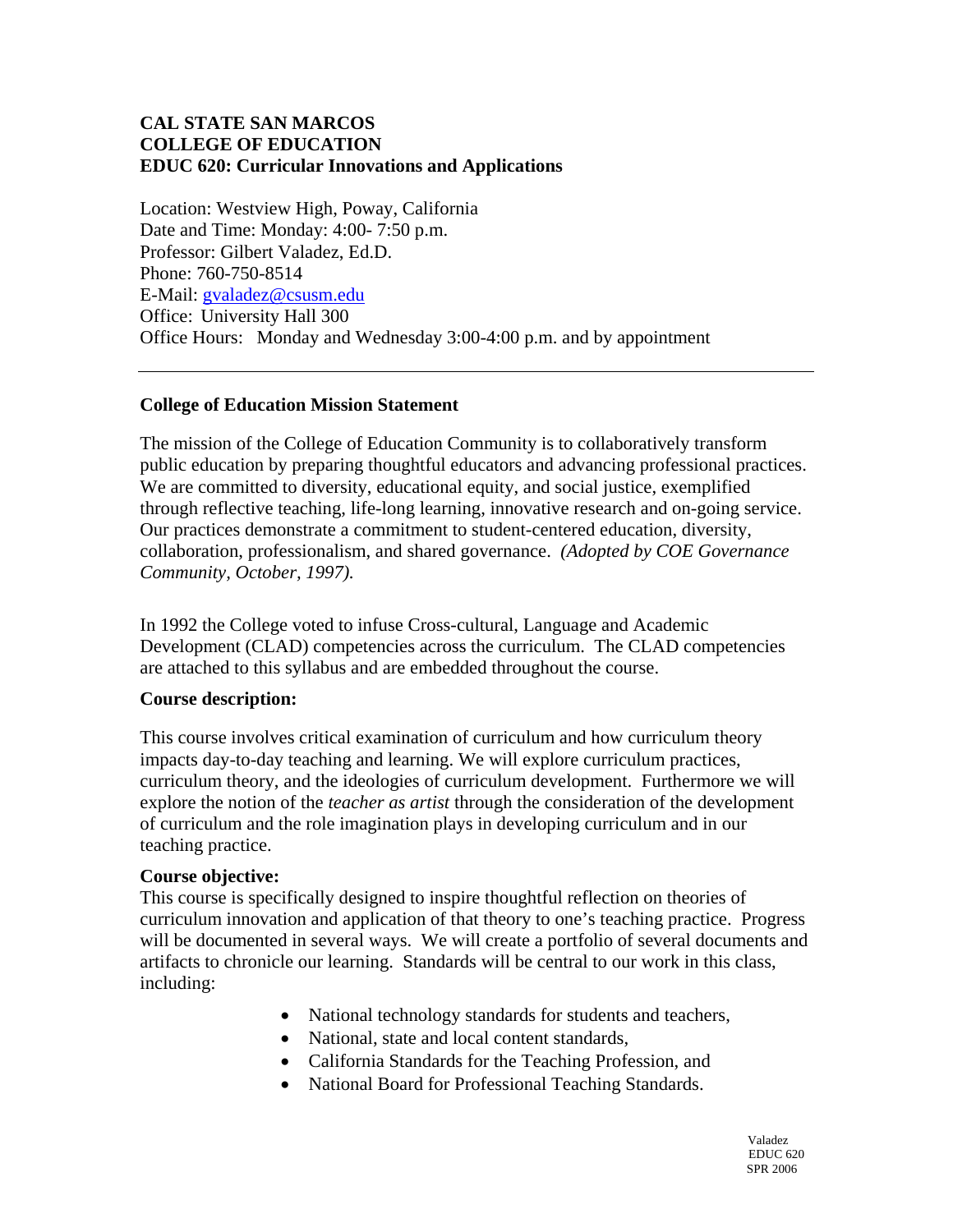## **CAL STATE SAN MARCOS COLLEGE OF EDUCATION EDUC 620: Curricular Innovations and Applications**

Location: Westview High, Poway, California Date and Time: Monday: 4:00- 7:50 p.m. Professor: Gilbert Valadez, Ed.D. Phone: 760-750-8514 E-Mail: gvaladez@csusm.edu Office: University Hall 300 Office Hours: Monday and Wednesday 3:00-4:00 p.m. and by appointment

### **College of Education Mission Statement**

The mission of the College of Education Community is to collaboratively transform public education by preparing thoughtful educators and advancing professional practices. We are committed to diversity, educational equity, and social justice, exemplified through reflective teaching, life-long learning, innovative research and on-going service. Our practices demonstrate a commitment to student-centered education, diversity, collaboration, professionalism, and shared governance. *(Adopted by COE Governance Community, October, 1997).* 

In 1992 the College voted to infuse Cross-cultural, Language and Academic Development (CLAD) competencies across the curriculum. The CLAD competencies are attached to this syllabus and are embedded throughout the course.

### **Course description:**

This course involves critical examination of curriculum and how curriculum theory impacts day-to-day teaching and learning. We will explore curriculum practices, curriculum theory, and the ideologies of curriculum development. Furthermore we will explore the notion of the *teacher as artist* through the consideration of the development of curriculum and the role imagination plays in developing curriculum and in our teaching practice.

### **Course objective:**

This course is specifically designed to inspire thoughtful reflection on theories of curriculum innovation and application of that theory to one's teaching practice. Progress will be documented in several ways. We will create a portfolio of several documents and artifacts to chronicle our learning. Standards will be central to our work in this class, including:

- National technology standards for students and teachers,
- National, state and local content standards,
- California Standards for the Teaching Profession, and
- National Board for Professional Teaching Standards.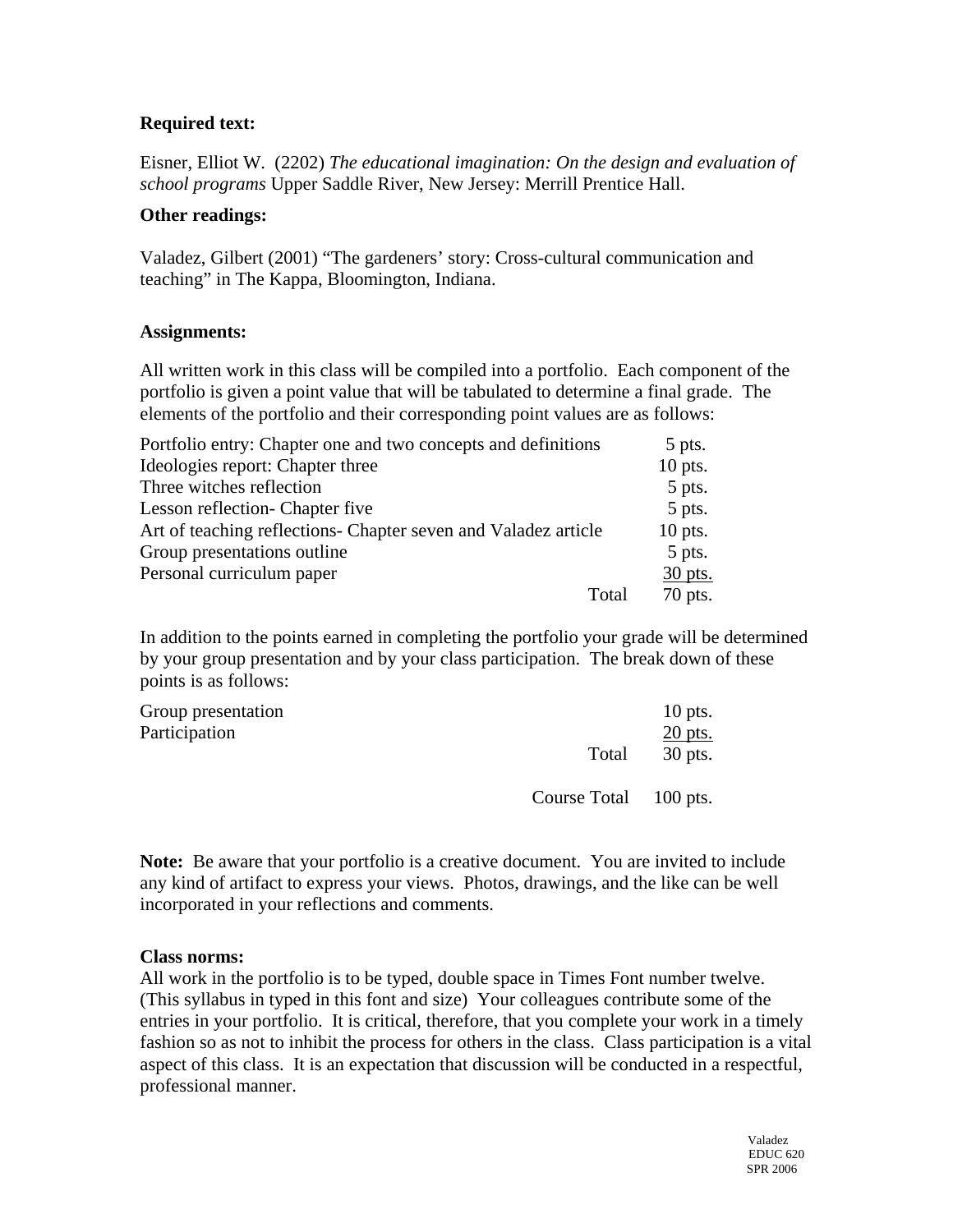## **Required text:**

Eisner, Elliot W. (2202) *The educational imagination: On the design and evaluation of school programs* Upper Saddle River, New Jersey: Merrill Prentice Hall.

### **Other readings:**

Valadez, Gilbert (2001) "The gardeners' story: Cross-cultural communication and teaching" in The Kappa, Bloomington, Indiana.

### **Assignments:**

All written work in this class will be compiled into a portfolio. Each component of the portfolio is given a point value that will be tabulated to determine a final grade. The elements of the portfolio and their corresponding point values are as follows:

| Portfolio entry: Chapter one and two concepts and definitions   | 5 pts.    |
|-----------------------------------------------------------------|-----------|
| Ideologies report: Chapter three                                | $10$ pts. |
| Three witches reflection                                        | 5 pts.    |
| Lesson reflection- Chapter five                                 | 5 pts.    |
| Art of teaching reflections - Chapter seven and Valadez article | $10$ pts. |
| Group presentations outline                                     | 5 pts.    |
| Personal curriculum paper                                       | 30 pts.   |
| Total                                                           | $70$ pts. |

In addition to the points earned in completing the portfolio your grade will be determined by your group presentation and by your class participation. The break down of these points is as follows:

| Group presentation |                       | $10$ pts. |
|--------------------|-----------------------|-----------|
| Participation      |                       | $20$ pts. |
|                    | Total                 | 30 pts.   |
|                    | Course Total 100 pts. |           |

**Note:** Be aware that your portfolio is a creative document. You are invited to include any kind of artifact to express your views. Photos, drawings, and the like can be well incorporated in your reflections and comments.

### **Class norms:**

All work in the portfolio is to be typed, double space in Times Font number twelve. (This syllabus in typed in this font and size) Your colleagues contribute some of the entries in your portfolio. It is critical, therefore, that you complete your work in a timely fashion so as not to inhibit the process for others in the class. Class participation is a vital aspect of this class. It is an expectation that discussion will be conducted in a respectful, professional manner.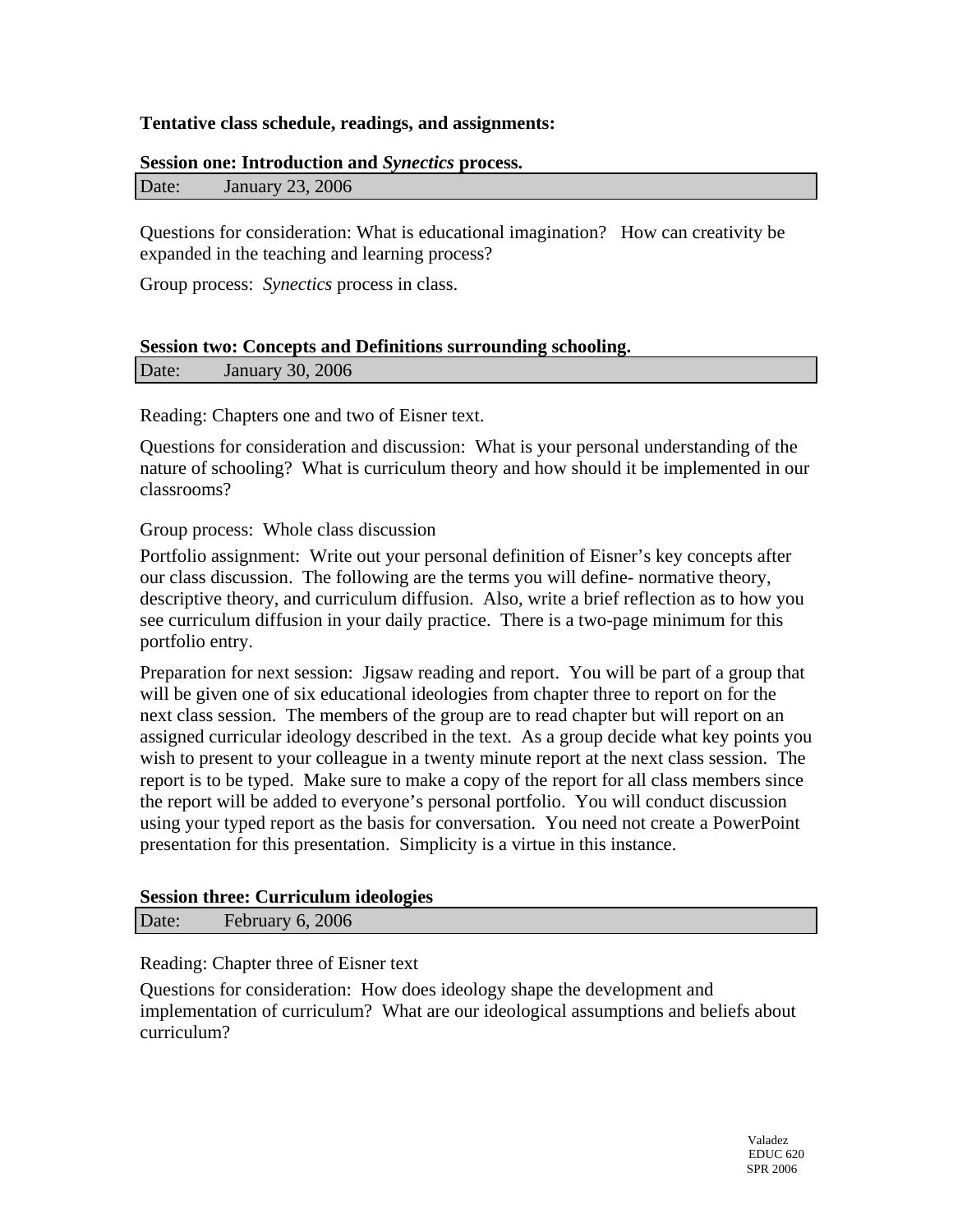### **Tentative class schedule, readings, and assignments:**

#### **Session one: Introduction and** *Synectics* **process.**

Questions for consideration: What is educational imagination? How can creativity be expanded in the teaching and learning process?

Group process: *Synectics* process in class.

# **Session two: Concepts and Definitions surrounding schooling.**

| Date: | <b>January 30, 2006</b> |  |
|-------|-------------------------|--|
|-------|-------------------------|--|

Reading: Chapters one and two of Eisner text.

Questions for consideration and discussion: What is your personal understanding of the nature of schooling? What is curriculum theory and how should it be implemented in our classrooms?

Group process: Whole class discussion

Portfolio assignment: Write out your personal definition of Eisner's key concepts after our class discussion. The following are the terms you will define- normative theory, descriptive theory, and curriculum diffusion. Also, write a brief reflection as to how you see curriculum diffusion in your daily practice. There is a two-page minimum for this portfolio entry.

Preparation for next session: Jigsaw reading and report. You will be part of a group that will be given one of six educational ideologies from chapter three to report on for the next class session. The members of the group are to read chapter but will report on an assigned curricular ideology described in the text. As a group decide what key points you wish to present to your colleague in a twenty minute report at the next class session. The report is to be typed. Make sure to make a copy of the report for all class members since the report will be added to everyone's personal portfolio. You will conduct discussion using your typed report as the basis for conversation. You need not create a PowerPoint presentation for this presentation. Simplicity is a virtue in this instance.

#### **Session three: Curriculum ideologies**

Date: February 6, 2006

Reading: Chapter three of Eisner text

Questions for consideration: How does ideology shape the development and implementation of curriculum? What are our ideological assumptions and beliefs about curriculum?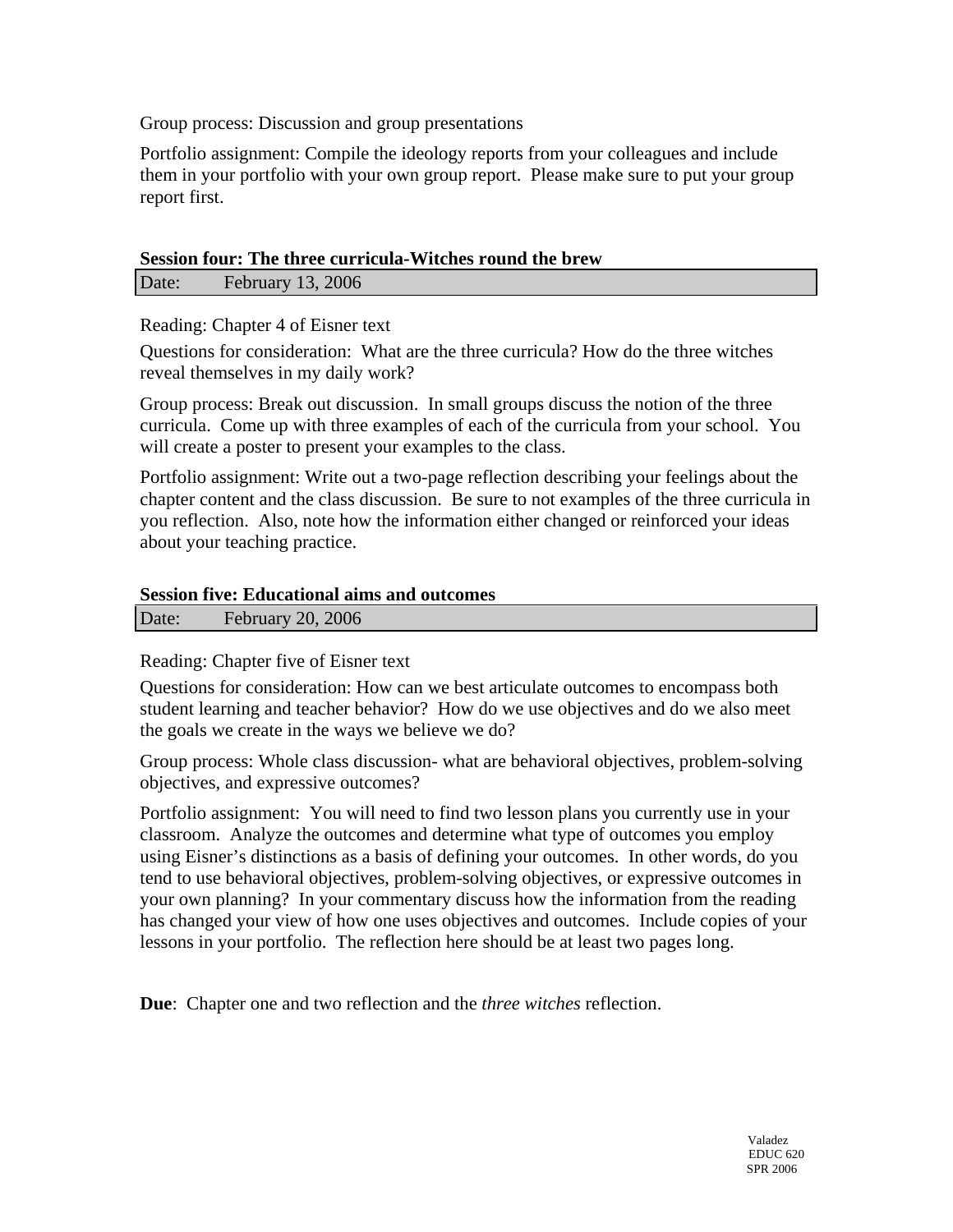Group process: Discussion and group presentations

Portfolio assignment: Compile the ideology reports from your colleagues and include them in your portfolio with your own group report. Please make sure to put your group report first.

### **Session four: The three curricula-Witches round the brew**

Date: February 13, 2006

Reading: Chapter 4 of Eisner text

Questions for consideration: What are the three curricula? How do the three witches reveal themselves in my daily work?

Group process: Break out discussion. In small groups discuss the notion of the three curricula. Come up with three examples of each of the curricula from your school. You will create a poster to present your examples to the class.

Portfolio assignment: Write out a two-page reflection describing your feelings about the chapter content and the class discussion. Be sure to not examples of the three curricula in you reflection. Also, note how the information either changed or reinforced your ideas about your teaching practice.

### **Session five: Educational aims and outcomes**

Date: February 20, 2006

### Reading: Chapter five of Eisner text

Questions for consideration: How can we best articulate outcomes to encompass both student learning and teacher behavior? How do we use objectives and do we also meet the goals we create in the ways we believe we do?

Group process: Whole class discussion- what are behavioral objectives, problem-solving objectives, and expressive outcomes?

Portfolio assignment: You will need to find two lesson plans you currently use in your classroom. Analyze the outcomes and determine what type of outcomes you employ using Eisner's distinctions as a basis of defining your outcomes. In other words, do you tend to use behavioral objectives, problem-solving objectives, or expressive outcomes in your own planning? In your commentary discuss how the information from the reading has changed your view of how one uses objectives and outcomes. Include copies of your lessons in your portfolio. The reflection here should be at least two pages long.

**Due**: Chapter one and two reflection and the *three witches* reflection.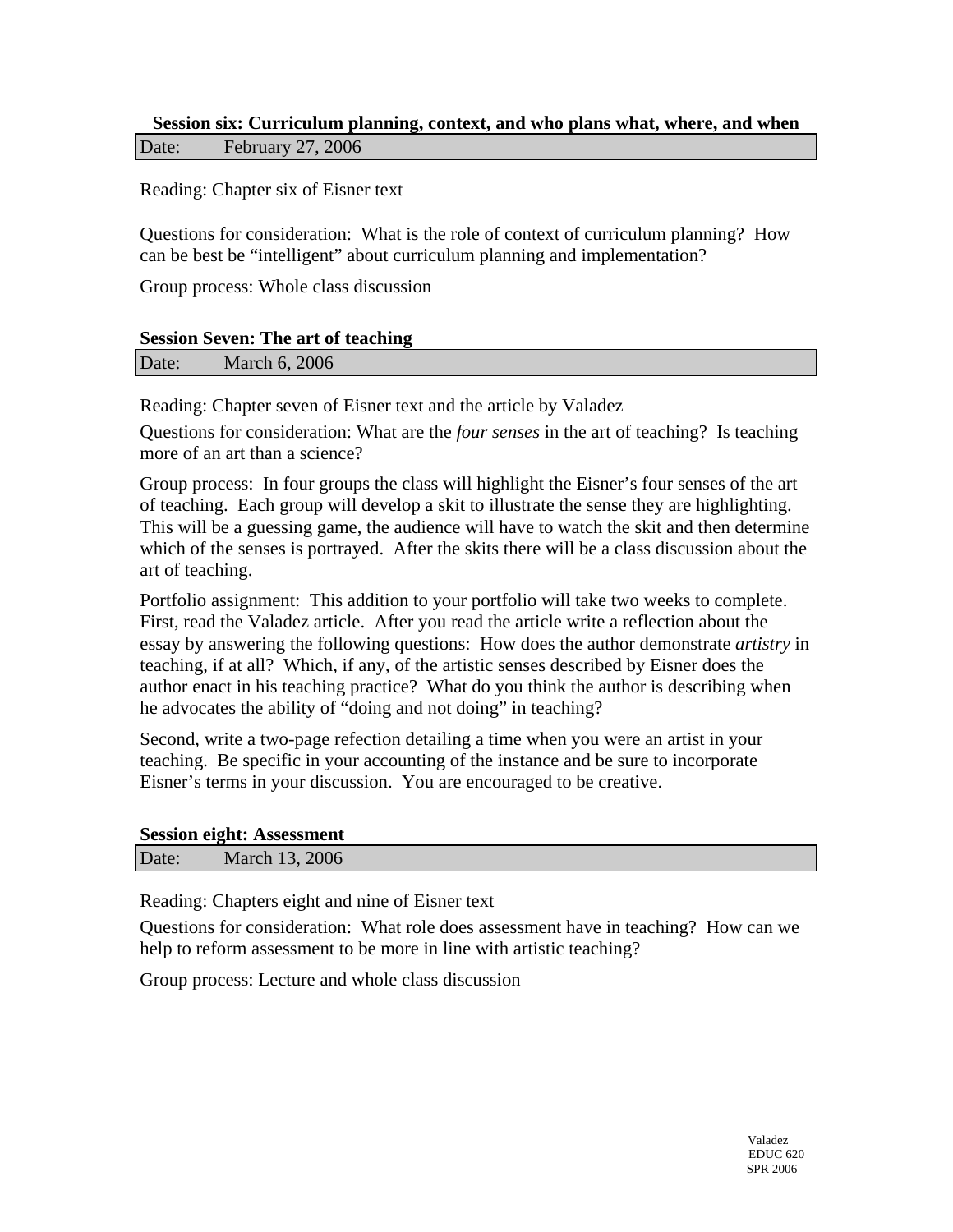## **Session six: Curriculum planning, context, and who plans what, where, and when**  Date: February 27, 2006

Reading: Chapter six of Eisner text

Questions for consideration: What is the role of context of curriculum planning? How can be best be "intelligent" about curriculum planning and implementation?

Group process: Whole class discussion

#### **Session Seven: The art of teaching**

Date: March 6, 2006

Reading: Chapter seven of Eisner text and the article by Valadez

Questions for consideration: What are the *four senses* in the art of teaching? Is teaching more of an art than a science?

Group process: In four groups the class will highlight the Eisner's four senses of the art of teaching. Each group will develop a skit to illustrate the sense they are highlighting. This will be a guessing game, the audience will have to watch the skit and then determine which of the senses is portrayed. After the skits there will be a class discussion about the art of teaching.

Portfolio assignment: This addition to your portfolio will take two weeks to complete. First, read the Valadez article. After you read the article write a reflection about the essay by answering the following questions: How does the author demonstrate *artistry* in teaching, if at all? Which, if any, of the artistic senses described by Eisner does the author enact in his teaching practice? What do you think the author is describing when he advocates the ability of "doing and not doing" in teaching?

Second, write a two-page refection detailing a time when you were an artist in your teaching. Be specific in your accounting of the instance and be sure to incorporate Eisner's terms in your discussion. You are encouraged to be creative.

#### **Session eight: Assessment**

| Date: | March 13, 2006 |  |
|-------|----------------|--|
|       |                |  |

Reading: Chapters eight and nine of Eisner text

Questions for consideration: What role does assessment have in teaching? How can we help to reform assessment to be more in line with artistic teaching?

Group process: Lecture and whole class discussion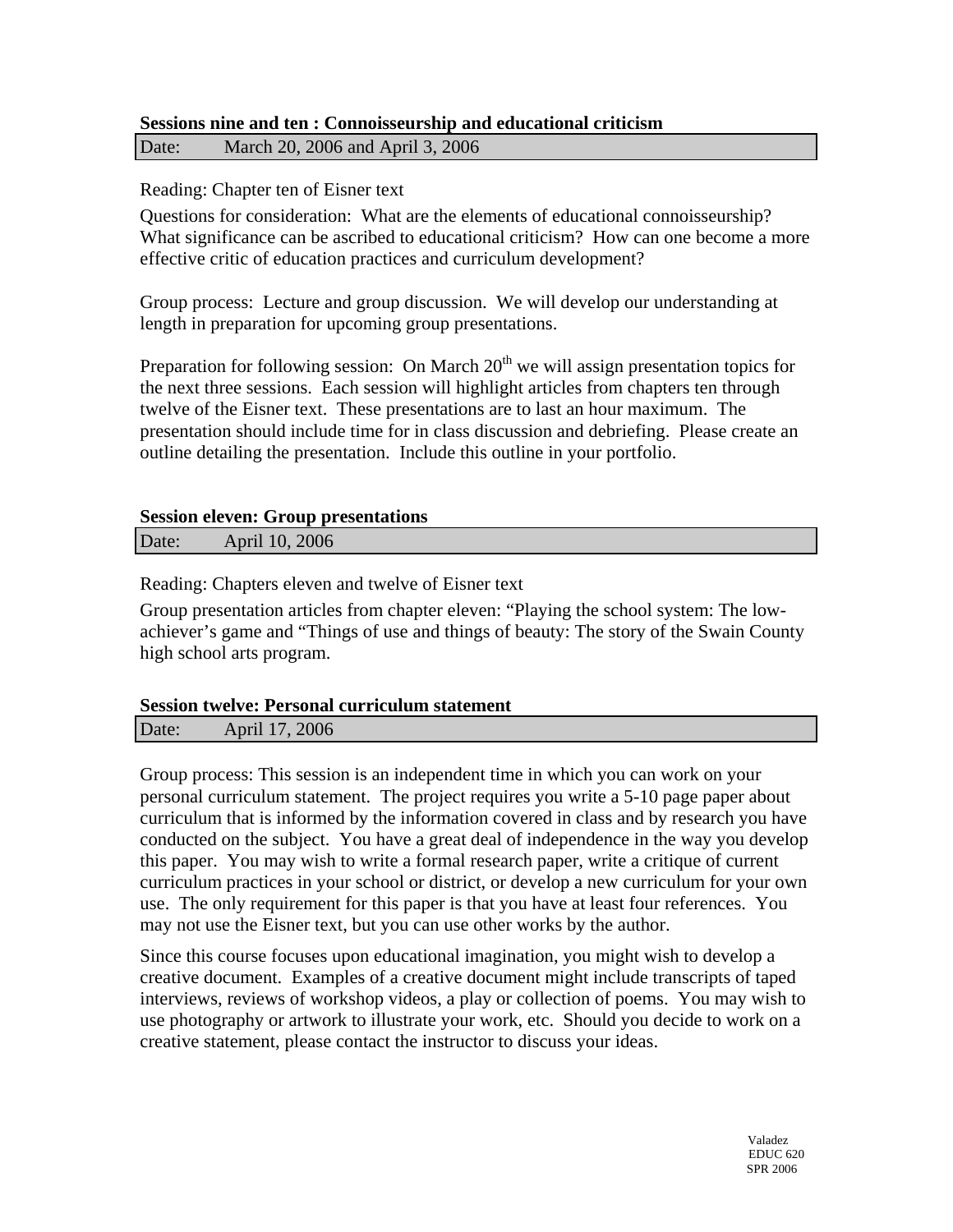### **Sessions nine and ten : Connoisseurship and educational criticism**  Date: March 20, 2006 and April 3, 2006

## Reading: Chapter ten of Eisner text

Questions for consideration: What are the elements of educational connoisseurship? What significance can be ascribed to educational criticism? How can one become a more effective critic of education practices and curriculum development?

Group process: Lecture and group discussion. We will develop our understanding at length in preparation for upcoming group presentations.

Preparation for following session: On March  $20<sup>th</sup>$  we will assign presentation topics for the next three sessions. Each session will highlight articles from chapters ten through twelve of the Eisner text. These presentations are to last an hour maximum. The presentation should include time for in class discussion and debriefing. Please create an outline detailing the presentation. Include this outline in your portfolio.

### **Session eleven: Group presentations**

Date: April 10, 2006

Reading: Chapters eleven and twelve of Eisner text

Group presentation articles from chapter eleven: "Playing the school system: The lowachiever's game and "Things of use and things of beauty: The story of the Swain County high school arts program.

### **Session twelve: Personal curriculum statement**

| Date: | April 17, 2006 |  |
|-------|----------------|--|
|       |                |  |

Group process: This session is an independent time in which you can work on your personal curriculum statement. The project requires you write a 5-10 page paper about curriculum that is informed by the information covered in class and by research you have conducted on the subject. You have a great deal of independence in the way you develop this paper. You may wish to write a formal research paper, write a critique of current curriculum practices in your school or district, or develop a new curriculum for your own use. The only requirement for this paper is that you have at least four references. You may not use the Eisner text, but you can use other works by the author.

Since this course focuses upon educational imagination, you might wish to develop a creative document. Examples of a creative document might include transcripts of taped interviews, reviews of workshop videos, a play or collection of poems. You may wish to use photography or artwork to illustrate your work, etc. Should you decide to work on a creative statement, please contact the instructor to discuss your ideas.